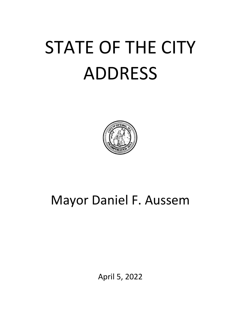# STATE OF THE CITY ADDRESS



## Mayor Daniel F. Aussem

April 5, 2022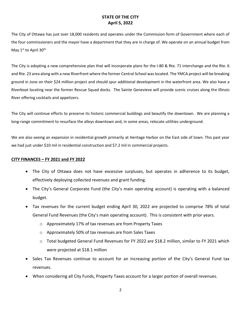The City of Ottawa has just over 18,000 residents and operates under the Commission form of Government where each of the four commissioners and the mayor have a department that they are in charge of. We operate on an annual budget from May 1st to April 30<sup>th.</sup>

The City is adopting a new comprehensive plan that will incorporate plans for the I-80 & Rte. 71 interchange and the Rte. 6 and Rte. 23 area along with a new Riverfront where the former Central School was located. The YMCA project will be breaking ground in June on their \$24 million project and should spur additional development in the waterfront area. We also have a Riverboat locating near the former Rescue Squad docks. The Sainte Genevieve will provide scenic cruises along the Illinois River offering cocktails and appetizers.

The City will continue efforts to preserve its historic commercial buildings and beautify the downtown. We are planning a long-range commitment to resurface the alleys downtown and, in some areas, relocate utilities underground.

We are also seeing an expansion in residential growth primarily at Heritage Harbor on the East side of town. This past year we had just under \$10 mil in residential construction and \$7.2 mil in commercial projects.

#### **CITY FINANCES – FY 2021 and FY 2022**

- The City of Ottawa does not have excessive surpluses, but operates in adherence to its budget, effectively deploying collected revenues and grant funding.
- The City's General Corporate Fund (the City's main operating account) is operating with a balanced budget.
- Tax revenues for the current budget ending April 30, 2022 are projected to comprise 78% of total General Fund Revenues (the City's main operating account). This is consistent with prior years.
	- o Approximately 17% of tax revenues are from Property Taxes
	- o Approximately 50% of tax revenues are from Sales Taxes
	- o Total budgeted General Fund Revenues for FY 2022 are \$18.2 million, similar to FY 2021 which were projected at \$18.1 million
- Sales Tax Revenues continue to account for an increasing portion of the City's General Fund tax revenues.
- When considering all City Funds, Property Taxes account for a larger portion of overall revenues.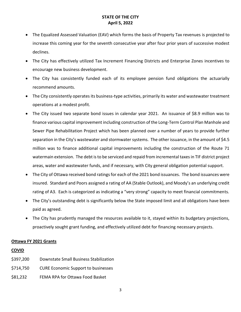- The Equalized Assessed Valuation (EAV) which forms the basis of Property Tax revenues is projected to increase this coming year for the seventh consecutive year after four prior years of successive modest declines.
- The City has effectively utilized Tax Increment Financing Districts and Enterprise Zones incentives to encourage new business development.
- The City has consistently funded each of its employee pension fund obligations the actuarially recommend amounts.
- The City consistently operates its business-type activities, primarily its water and wastewater treatment operations at a modest profit.
- The City issued two separate bond issues in calendar year 2021. An issuance of \$8.9 million was to finance various capital improvement including construction of the Long-Term Control Plan Manhole and Sewer Pipe Rehabilitation Project which has been planned over a number of years to provide further separation in the City's wastewater and stormwater systems. The other issuance, in the amount of \$4.5 million was to finance additional capital improvements including the construction of the Route 71 watermain extension. The debt is to be serviced and repaid from incremental taxes in TIF district project areas, water and wastewater funds, and if necessary, with City general obligation potential support.
- The City of Ottawa received bond ratings for each of the 2021 bond issuances. The bond issuances were insured. Standard and Poors assigned a rating of AA (Stable Outlook), and Moody's an underlying credit rating of A3. Each is categorized as indicating a "very strong" capacity to meet financial commitments.
- The City's outstanding debt is significantly below the State imposed limit and all obligations have been paid as agreed.
- The City has prudently managed the resources available to it, stayed within its budgetary projections, proactively sought grant funding, and effectively utilized debt for financing necessary projects.

#### **Ottawa FY 2021 Grants**

#### **COVID**

- \$397,200 Downstate Small Business Stabilization
- \$714,750 CURE Economic Support to businesses
- \$81,232 FEMA RPA for Ottawa Food Basket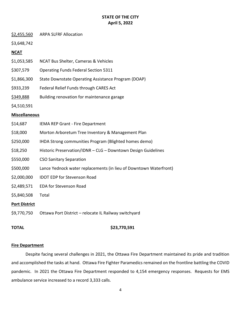#### \$2,455,560 ARPA SLFRF Allocation

\$3,648,742

#### **NCAT**

| \$1,053,585 | NCAT Bus Shelter, Cameras & Vehicles |  |  |
|-------------|--------------------------------------|--|--|
|-------------|--------------------------------------|--|--|

- \$307,579 Operating Funds Federal Section 5311
- \$1,866,300 State Downstate Operating Assistance Program (DOAP)
- \$933,239 Federal Relief Funds through CARES Act
- \$349,888 Building renovation for maintenance garage

\$4,510,591

#### **Miscellaneous**

| \$14,687    | <b>IEMA REP Grant - Fire Department</b>                           |
|-------------|-------------------------------------------------------------------|
| \$18,000    | Morton Arboretum Tree Inventory & Management Plan                 |
| \$250,000   | IHDA Strong communities Program (Blighted homes demo)             |
| \$18,250    | Historic Preservation/IDNR - CLG - Downtown Design Guidelines     |
| \$550,000   | <b>CSO Sanitary Separation</b>                                    |
| \$500,000   | Lance Yednock water replacements (in lieu of Downtown Waterfront) |
| \$2,000,000 | <b>IDOT EDP for Stevenson Road</b>                                |
| \$2,489,571 | <b>EDA for Stevenson Road</b>                                     |
| \$5,840,508 | Total                                                             |
| .           |                                                                   |

#### **Port District**

\$9,770,750 Ottawa Port District – relocate IL Railway switchyard

#### **TOTAL \$23,770,591**

#### **Fire Department**

Despite facing several challenges in 2021, the Ottawa Fire Department maintained its pride and tradition and accomplished the tasks at hand. Ottawa Fire Fighter Paramedics remained on the frontline battling the COVID pandemic. In 2021 the Ottawa Fire Department responded to 4,154 emergency responses. Requests for EMS ambulance service increased to a record 3,333 calls.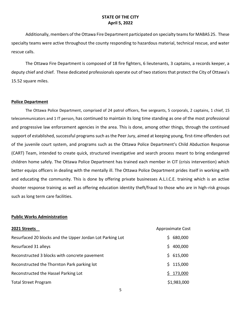Additionally, members of the Ottawa Fire Department participated on specialty teams for MABAS 25. These specialty teams were active throughout the county responding to hazardous material, technical rescue, and water rescue calls.

The Ottawa Fire Department is composed of 18 fire fighters, 6 lieutenants, 3 captains, a records keeper, a deputy chief and chief. These dedicated professionals operate out of two stations that protect the City of Ottawa's 15.52 square miles.

#### **Police Department**

The Ottawa Police Department, comprised of 24 patrol officers, five sergeants, 5 corporals, 2 captains, 1 chief, 15 telecommunicators and 1 IT person, has continued to maintain its long time standing as one of the most professional and progressive law enforcement agencies in the area. This is done, among other things, through the continued support of established, successful programs such as the Peer Jury, aimed at keeping young, first-time offenders out of the juvenile court system, and programs such as the Ottawa Police Department's Child Abduction Response (CART) Team, intended to create quick, structured investigative and search process meant to bring endangered children home safely. The Ottawa Police Department has trained each member in CIT (crisis intervention) which better equips officers in dealing with the mentally ill. The Ottawa Police Department prides itself in working with and educating the community. This is done by offering private businesses A.L.I.C.E. training which is an active shooter response training as well as offering education identity theft/fraud to those who are in high-risk groups such as long term care facilities.

#### **Public Works Administration**

| 2021 Streets                                              | <b>Approximate Cost</b> |
|-----------------------------------------------------------|-------------------------|
| Resurfaced 20 blocks and the Upper Jordan Lot Parking Lot | 680,000<br>S.           |
| Resurfaced 31 alleys                                      | 400,000<br>S.           |
| Reconstructed 3 blocks with concrete pavement             | 615,000<br>S.           |
| Reconstructed the Thornton Park parking lot               | 115,000<br>S.           |
| Reconstructed the Hassel Parking Lot                      | 173,000                 |
| <b>Total Street Program</b>                               | \$1,983,000             |

5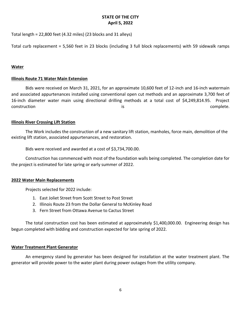Total length = 22,800 feet (4.32 miles) (23 blocks and 31 alleys)

Total curb replacement = 5,560 feet in 23 blocks (including 3 full block replacements) with 59 sidewalk ramps

#### **Water**

#### **Illinois Route 71 Water Main Extension**

Bids were received on March 31, 2021, for an approximate 10,600 feet of 12-inch and 16-inch watermain and associated appurtenances installed using conventional open cut methods and an approximate 3,700 feet of 16-inch diameter water main using directional drilling methods at a total cost of \$4,249,814.95. Project construction is complete.

#### **Illinois River Crossing Lift Station**

The Work includes the construction of a new sanitary lift station, manholes, force main, demolition of the existing lift station, associated appurtenances, and restoration.

Bids were received and awarded at a cost of \$3,734,700.00.

Construction has commenced with most of the foundation walls being completed. The completion date for the project is estimated for late spring or early summer of 2022.

#### **2022 Water Main Replacements**

Projects selected for 2022 include:

- 1. East Joliet Street from Scott Street to Post Street
- 2. Illinois Route 23 from the Dollar General to McKinley Road
- 3. Fern Street from Ottawa Avenue to Cactus Street

The total construction cost has been estimated at approximately \$1,400,000.00. Engineering design has begun completed with bidding and construction expected for late spring of 2022.

#### **Water Treatment Plant Generator**

An emergency stand by generator has been designed for installation at the water treatment plant. The generator will provide power to the water plant during power outages from the utility company.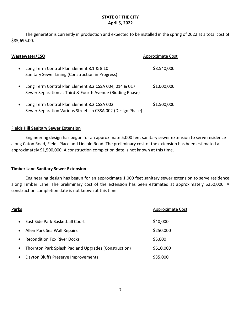The generator is currently in production and expected to be installed in the spring of 2022 at a total cost of \$85,695.00.

| <b>Wastewater/CSO</b>                                                                                                            | Approximate Cost |
|----------------------------------------------------------------------------------------------------------------------------------|------------------|
| Long Term Control Plan Element 8.1 & 8.10<br>$\bullet$<br>Sanitary Sewer Lining (Construction in Progress)                       | \$8,540,000      |
| Long Term Control Plan Element 8.2 CSSA 004, 014 & 017<br>$\bullet$<br>Sewer Separation at Third & Fourth Avenue (Bidding Phase) | \$1,000,000      |
| Long Term Control Plan Element 8.2 CSSA 002<br>$\bullet$<br>Sewer Separation Various Streets in CSSA 002 (Design Phase)          | \$1,500,000      |

#### **Fields Hill Sanitary Sewer Extension**

Engineering design has begun for an approximate 5,000 feet sanitary sewer extension to serve residence along Caton Road, Fields Place and Lincoln Road. The preliminary cost of the extension has been estimated at approximately \$1,500,000. A construction completion date is not known at this time.

#### **Timber Lane Sanitary Sewer Extension**

Engineering design has begun for an approximate 1,000 feet sanitary sewer extension to serve residence along Timber Lane. The preliminary cost of the extension has been estimated at approximately \$250,000. A construction completion date is not known at this time.

| Parks     |                                                      | Approximate Cost |
|-----------|------------------------------------------------------|------------------|
| $\bullet$ | East Side Park Basketball Court                      | \$40,000         |
| $\bullet$ | Allen Park Sea Wall Repairs                          | \$250,000        |
| $\bullet$ | <b>Recondition Fox River Docks</b>                   | \$5,000          |
| $\bullet$ | Thornton Park Splash Pad and Upgrades (Construction) | \$610,000        |
| $\bullet$ | Dayton Bluffs Preserve Improvements                  | \$35,000         |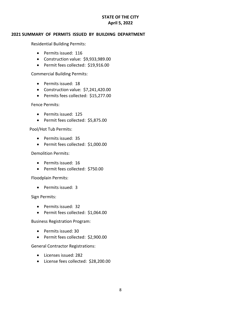#### **2021 SUMMARY OF PERMITS ISSUED BY BUILDING DEPARTMENT**

Residential Building Permits:

- Permits issued: 116
- Construction value: \$9,933,989.00
- Permit fees collected: \$19,916.00

Commercial Building Permits:

- Permits issued: 18
- Construction value: \$7,241,420.00
- Permits fees collected: \$15,277.00

Fence Permits:

- Permits issued: 125
- Permit fees collected: \$5,875.00

Pool/Hot Tub Permits:

- Permits issued: 35
- Permit fees collected: \$1,000.00

Demolition Permits:

- Permits issued: 16
- Permit fees collected: \$750.00

Floodplain Permits:

• Permits issued: 3

Sign Permits:

- Permits issued: 32
- Permit fees collected: \$1,064.00

Business Registration Program:

- Permits issued: 30
- Permit fees collected: \$2,900.00

General Contractor Registrations:

- Licenses issued: 282
- License fees collected: \$28,200.00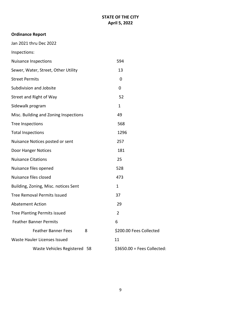### **Ordinance Report**

Jan 2021 thru Dec 2022

#### Inspections:

| <b>Nuisance Inspections</b>           | 594                          |
|---------------------------------------|------------------------------|
| Sewer, Water, Street, Other Utility   | 13                           |
| <b>Street Permits</b>                 | 0                            |
| Subdivision and Jobsite               | $\mathbf 0$                  |
| Street and Right of Way               | 52                           |
| Sidewalk program                      | $\mathbf{1}$                 |
| Misc. Building and Zoning Inspections | 49                           |
| <b>Tree Inspections</b>               | 568                          |
| <b>Total Inspections</b>              | 1296                         |
| Nuisance Notices posted or sent       | 257                          |
| Door Hanger Notices                   | 181                          |
| <b>Nuisance Citations</b>             | 25                           |
| Nuisance files opened                 | 528                          |
| Nuisance files closed                 | 473                          |
| Building, Zoning, Misc. notices Sent  | 1                            |
| <b>Tree Removal Permits Issued</b>    | 37                           |
| <b>Abatement Action</b>               | 29                           |
| <b>Tree Planting Permits issued</b>   | $\overline{2}$               |
| <b>Feather Banner Permits</b>         | 6                            |
| <b>Feather Banner Fees</b><br>8       | \$200.00 Fees Collected      |
| Waste Hauler Licenses Issued          | 11                           |
| Waste Vehicles Registered 58          | $$3650.00 = Fees Collected:$ |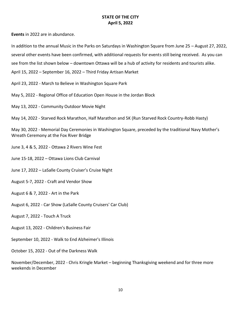**Events** in 2022 are in abundance.

In addition to the annual Music in the Parks on Saturdays in Washington Square from June 25 – August 27, 2022,

several other events have been confirmed, with additional requests for events still being received. As you can

see from the list shown below – downtown Ottawa will be a hub of activity for residents and tourists alike.

April 15, 2022 – September 16, 2022 – Third Friday Artisan Market

April 23, 2022 - March to Believe in Washington Square Park

May 5, 2022 - Regional Office of Education Open House in the Jordan Block

May 13, 2022 - Community Outdoor Movie Night

May 14, 2022 - Starved Rock Marathon, Half Marathon and 5K (Run Starved Rock Country-Robb Hasty)

May 30, 2022 - Memorial Day Ceremonies in Washington Square, preceded by the traditional Navy Mother's Wreath Ceremony at the Fox River Bridge

June 3, 4 & 5, 2022 - Ottawa 2 Rivers Wine Fest

June 15-18, 2022 – Ottawa Lions Club Carnival

June 17, 2022 – LaSalle County Cruiser's Cruise Night

August 5-7, 2022 - Craft and Vendor Show

August 6 & 7, 2022 - Art in the Park

August 6, 2022 - Car Show (LaSalle County Cruisers' Car Club)

August 7, 2022 - Touch A Truck

August 13, 2022 - Children's Business Fair

September 10, 2022 - Walk to End Alzheimer's Illinois

October 15, 2022 - Out of the Darkness Walk

November/December, 2022 - Chris Kringle Market – beginning Thanksgiving weekend and for three more weekends in December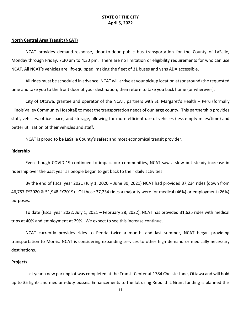#### **North Central Area Transit (NCAT)**

NCAT provides demand-response, door-to-door public bus transportation for the County of LaSalle, Monday through Friday, 7:30 am to 4:30 pm. There are no limitation or eligibility requirements for who can use NCAT. All NCAT's vehicles are lift-equipped, making the fleet of 31 buses and vans ADA accessible.

All rides must be scheduled in advance; NCAT will arrive at your pickup location at (or around) the requested time and take you to the front door of your destination, then return to take you back home (or wherever).

City of Ottawa, grantee and operator of the NCAT, partners with St. Margaret's Health – Peru (formally Illinois Valley Community Hospital) to meet the transportation needs of our large county. This partnership provides staff, vehicles, office space, and storage, allowing for more efficient use of vehicles (less empty miles/time) and better utilization of their vehicles and staff.

NCAT is proud to be LaSalle County's safest and most economical transit provider.

#### **Ridership**

Even though COVID-19 continued to impact our communities, NCAT saw a slow but steady increase in ridership over the past year as people began to get back to their daily activities.

By the end of fiscal year 2021 (July 1, 2020 – June 30, 2021) NCAT had provided 37,234 rides (down from 46,757 FY2020 & 51,948 FY2019). Of those 37,234 rides a majority were for medical (46%) or employment (26%) purposes.

To date (fiscal year 2022: July 1, 2021 – February 28, 2022), NCAT has provided 31,625 rides with medical trips at 40% and employment at 29%. We expect to see this increase continue.

NCAT currently provides rides to Peoria twice a month, and last summer, NCAT began providing transportation to Morris. NCAT is considering expanding services to other high demand or medically necessary destinations.

#### **Projects**

Last year a new parking lot was completed at the Transit Center at 1784 Chessie Lane, Ottawa and will hold up to 35 light- and medium-duty busses. Enhancements to the lot using Rebuild IL Grant funding is planned this